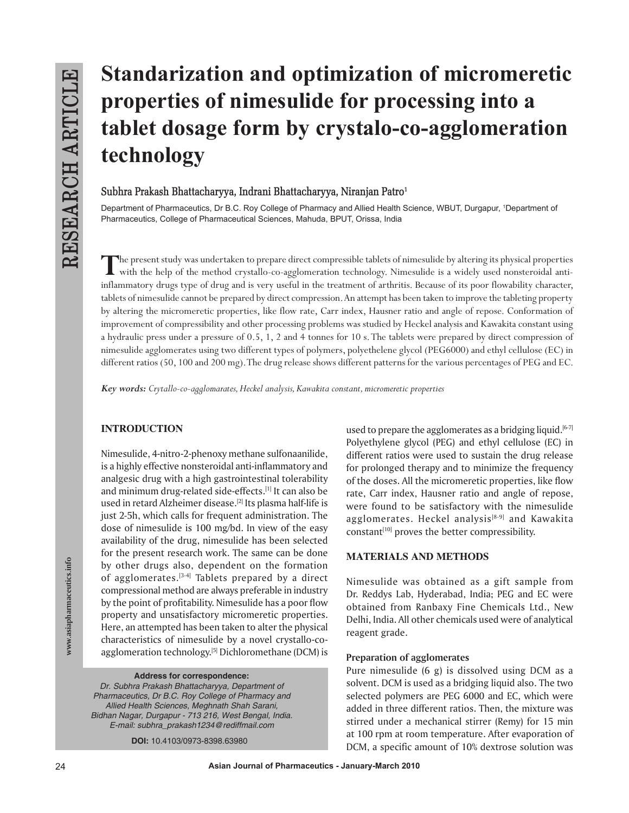# **Standarization and optimization of micromeretic properties of nimesulide for processing into a tablet dosage form by crystalo-co-agglomeration technology**

**Subhra Prakash Bhattacharyya, Indrani Bhattacharyya, Niranjan Patro1**

Department of Pharmaceutics, Dr B.C. Roy College of Pharmacy and Allied Health Science, WBUT, Durgapur, 1 Department of Pharmaceutics, College of Pharmaceutical Sciences, Mahuda, BPUT, Orissa, India

**T**he present study was undertaken to prepare direct compressible tablets of nimesulide by altering its physical properties with the help of the method crystallo-co-agglomeration technology. Nimesulide is a widely used nonsteroidal antiinflammatory drugs type of drug and is very useful in the treatment of arthritis. Because of its poor flowability character, tablets of nimesulide cannot be prepared by direct compression. An attempt has been taken to improve the tableting property by altering the micromeretic properties, like flow rate, Carr index, Hausner ratio and angle of repose. Conformation of improvement of compressibility and other processing problems was studied by Heckel analysis and Kawakita constant using a hydraulic press under a pressure of 0.5, 1, 2 and 4 tonnes for 10 s. The tablets were prepared by direct compression of nimesulide agglomerates using two different types of polymers, polyethelene glycol (PEG6000) and ethyl cellulose (EC) in different ratios (50, 100 and 200 mg). The drug release shows different patterns for the various percentages of PEG and EC.

*Key words: Crytallo-co-agglomarates, Heckel analysis, Kawakita constant, micromeretic properties*

# **INTRODUCTION**

Nimesulide, 4-nitro-2-phenoxy methane sulfonaanilide, is a highly effective nonsteroidal anti-inflammatory and analgesic drug with a high gastrointestinal tolerability and minimum drug-related side-effects.<sup>[1]</sup> It can also be used in retard Alzheimer disease.<sup>[2]</sup> Its plasma half-life is just 2*-*5h, which calls for frequent administration. The dose of nimesulide is 100 mg/bd. In view of the easy availability of the drug, nimesulide has been selected for the present research work. The same can be done by other drugs also, dependent on the formation of agglomerates. $[3-4]$  Tablets prepared by a direct compressional method are always preferable in industry by the point of profitability. Nimesulide has a poor flow property and unsatisfactory micromeretic properties. Here, an attempted has been taken to alter the physical characteristics of nimesulide by a novel crystallo-coagglomeration technology.<sup>[5]</sup> Dichloromethane (DCM) is

**Address for correspondence:** 

Dr. Subhra Prakash Bhattacharyya, Department of Pharmaceutics, Dr B.C. Roy College of Pharmacy and Allied Health Sciences, Meghnath Shah Sarani, Bidhan Nagar, Durgapur - 713 216, West Bengal, India. E-mail: subhra\_prakash1234@rediffmail.com

**DOI:** 10.4103/0973-8398.63980

used to prepare the agglomerates as a bridging liquid.<sup>[6-7]</sup> Polyethylene glycol (PEG) and ethyl cellulose (EC) in different ratios were used to sustain the drug release for prolonged therapy and to minimize the frequency of the doses. All the micromeretic properties, like flow rate, Carr index, Hausner ratio and angle of repose, were found to be satisfactory with the nimesulide agglomerates. Heckel analysis<sup>[8-9]</sup> and Kawakita constant<sup>[10]</sup> proves the better compressibility.

# **MATERIALS AND METHODS**

Nimesulide was obtained as a gift sample from Dr. Reddys Lab, Hyderabad, India; PEG and EC were obtained from Ranbaxy Fine Chemicals Ltd., New Delhi, India. All other chemicals used were of analytical reagent grade.

#### **Preparation of agglomerates**

Pure nimesulide (6 g) is dissolved using DCM as a solvent. DCM is used as a bridging liquid also. The two selected polymers are PEG 6000 and EC, which were added in three different ratios. Then, the mixture was stirred under a mechanical stirrer (Remy) for 15 min at 100 rpm at room temperature. After evaporation of DCM, a specific amount of 10% dextrose solution was

**www.asiapharmaceutics.info**

www.asiapharmaceutics.info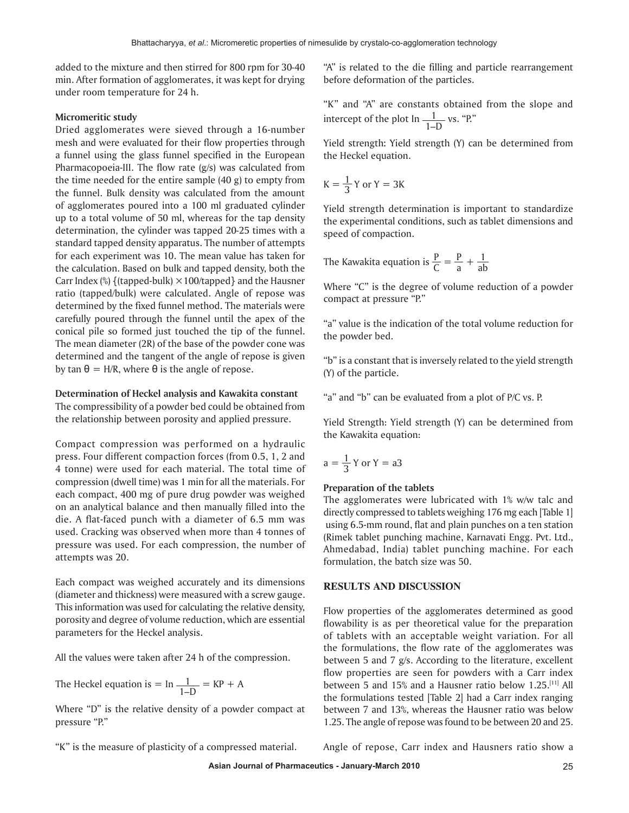added to the mixture and then stirred for 800 rpm for 30*-*40 min. After formation of agglomerates, it was kept for drying under room temperature for 24 h.

## **Micromeritic study**

Dried agglomerates were sieved through a 16-number mesh and were evaluated for their flow properties through a funnel using the glass funnel specified in the European Pharmacopoeia-III. The flow rate (g/s) was calculated from the time needed for the entire sample (40 g) to empty from the funnel. Bulk density was calculated from the amount of agglomerates poured into a 100 ml graduated cylinder up to a total volume of 50 ml, whereas for the tap density determination, the cylinder was tapped 20*-*25 times with a standard tapped density apparatus. The number of attempts for each experiment was 10. The mean value has taken for the calculation. Based on bulk and tapped density, both the Carr Index  $\%$  {(tapped-bulk)  $\times$  100/tapped} and the Hausner ratio (tapped/bulk) were calculated. Angle of repose was determined by the fixed funnel method**.** The materials were carefully poured through the funnel until the apex of the conical pile so formed just touched the tip of the funnel. The mean diameter (2R) of the base of the powder cone was determined and the tangent of the angle of repose is given by tan θ *=* H/R, where θ is the angle of repose.

#### **Determination of Heckel analysis and Kawakita constant**

The compressibility of a powder bed could be obtained from the relationship between porosity and applied pressure.

Compact compression was performed on a hydraulic press. Four different compaction forces (from 0.5, 1, 2 and 4 tonne) were used for each material. The total time of compression (dwell time) was 1 min for all the materials. For each compact, 400 mg of pure drug powder was weighed on an analytical balance and then manually filled into the die. A flat-faced punch with a diameter of 6.5 mm was used. Cracking was observed when more than 4 tonnes of pressure was used. For each compression, the number of attempts was 20.

Each compact was weighed accurately and its dimensions (diameter and thickness) were measured with a screw gauge. This information was used for calculating the relative density, porosity and degree of volume reduction, which are essential parameters for the Heckel analysis.

All the values were taken after 24 h of the compression.

The Heckel equation is = 
$$
\ln \frac{1}{1-D}
$$
 = KP + A

Where "D" is the relative density of a powder compact at pressure "P."

"A" is related to the die filling and particle rearrangement before deformation of the particles.

"K" and "A" are constants obtained from the slope and intercept of the plot  $\ln \frac{1}{1-D}$  vs. "P."

Yield strength**:** Yield strength (Y) can be determined from the Heckel equation.

$$
K = \frac{1}{3} Y \text{ or } Y = 3K
$$

Yield strength determination is important to standardize the experimental conditions, such as tablet dimensions and speed of compaction.

The Kawakita equation is 
$$
\frac{P}{C} = \frac{P}{a} + \frac{1}{ab}
$$

Where "C" is the degree of volume reduction of a powder compact at pressure "P."

"a" value is the indication of the total volume reduction for the powder bed.

"b" is a constant that is inversely related to the yield strength (Y) of the particle.

"a" and "b" can be evaluated from a plot of P/C vs. P.

Yield Strength: Yield strength (Y) can be determined from the Kawakita equation:

$$
a = \frac{1}{3} Y \text{ or } Y = a3
$$

#### **Preparation of the tablets**

The agglomerates were lubricated with 1% w/w talc and directly compressed to tablets weighing 176 mg each [Table 1] using 6.5-mm round, flat and plain punches on a ten station (Rimek tablet punching machine, Karnavati Engg. Pvt. Ltd., Ahmedabad, India) tablet punching machine. For each formulation, the batch size was 50.

#### **RESULTS AND DISCUSSION**

Flow properties of the agglomerates determined as good flowability is as per theoretical value for the preparation of tablets with an acceptable weight variation. For all the formulations, the flow rate of the agglomerates was between 5 and 7 g/s. According to the literature, excellent flow properties are seen for powders with a Carr index between 5 and 15% and a Hausner ratio below 1.25.[11] All the formulations tested [Table 2] had a Carr index ranging between 7 and 13%, whereas the Hausner ratio was below 1.25. The angle of repose was found to be between 20 and 25.

"K" is the measure of plasticity of a compressed material.

Angle of repose, Carr index and Hausners ratio show a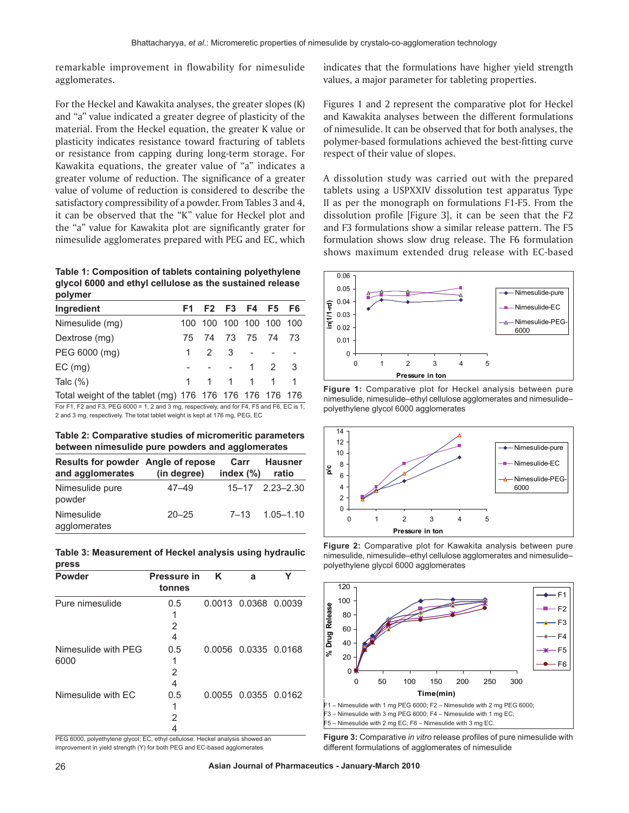remarkable improvement in flowability for nimesulide agglomerates.

For the Heckel and Kawakita analyses, the greater slopes (K) and "a" value indicated a greater degree of plasticity of the material. From the Heckel equation, the greater K value or plasticity indicates resistance toward fracturing of tablets or resistance from capping during long-term storage. For Kawakita equations, the greater value of "a" indicates a greater volume of reduction. The significance of a greater value of volume of reduction is considered to describe the satisfactory compressibility of a powder. From Tables 3 and 4, it can be observed that the "K" value for Heckel plot and the "a" value for Kawakita plot are significantly grater for nimesulide agglomerates prepared with PEG and EC, which

**Table 1: Composition of tablets containing polyethylene glycol 6000 and ethyl cellulose as the sustained release polymer**

| Ingredient                                              |                 |  | F1 F2 F3 F4 F5 F6       |  |
|---------------------------------------------------------|-----------------|--|-------------------------|--|
| Nimesulide (mg)                                         |                 |  | 100 100 100 100 100 100 |  |
| Dextrose (mg)                                           |                 |  | 75 74 73 75 74 73       |  |
| PEG 6000 (mg)                                           | $1 \t2 \t3 \t-$ |  |                         |  |
| $EC$ (mg)                                               |                 |  | - - - 1 2 3             |  |
| Talc $(\%)$                                             |                 |  | 1 1 1 1 1 1             |  |
| Total weight of the tablet (mg) 176 176 176 176 176 176 |                 |  |                         |  |

For F1, F2 and F3, PEG 6000 = 1, 2 and 3 mg, respectively, and for F4, F5 and F6, EC is 1, 2 and 3 mg, respectively. The total tablet weight is kept at 176 mg, PEG, EC

**Table 2: Comparative studies of micromeritic parameters between nimesulide pure powders and agglomerates**

| Results for powder Angle of repose<br>and agglomerates | (in degree) | Carr<br>index $(\%)$ | <b>Hausner</b><br>ratio |
|--------------------------------------------------------|-------------|----------------------|-------------------------|
| Nimesulide pure<br>powder                              | 47–49       |                      | $15 - 17$ $2.23 - 2.30$ |
| Nimesulide<br>agglomerates                             | $20 - 25$   |                      | $7 - 13$ $1.05 - 1.10$  |

|       | Table 3: Measurement of Heckel analysis using hydraulic |  |  |
|-------|---------------------------------------------------------|--|--|
| press |                                                         |  |  |

| <b>Powder</b>               | <b>Pressure in</b><br>tonnes | ĸ | а                    |  |
|-----------------------------|------------------------------|---|----------------------|--|
| Pure nimesulide             | 0.5<br>2<br>4                |   | 0.0013 0.0368 0.0039 |  |
| Nimesulide with PFG<br>6000 | 0.5<br>2<br>4                |   | 0.0056 0.0335 0.0168 |  |
| Nimesulide with EC          | 0.5<br>1<br>2                |   | 0.0055 0.0355 0.0162 |  |

PEG 6000, polyethylene glycol; EC, ethyl cellulose. Heckel analysis showed an improvement in yield strength (Y) for both PEG and EC-based agglomerates

indicates that the formulations have higher yield strength values, a major parameter for tableting properties.

Figures 1 and 2 represent the comparative plot for Heckel and Kawakita analyses between the different formulations of nimesulide. It can be observed that for both analyses, the polymer-based formulations achieved the best-fitting curve respect of their value of slopes.

A dissolution study was carried out with the prepared tablets using a USPXXIV dissolution test apparatus Type II as per the monograph on formulations F1-F5. From the dissolution profile [Figure 3], it can be seen that the F2 and F3 formulations show a similar release pattern. The F5 formulation shows slow drug release. The F6 formulation shows maximum extended drug release with EC-based







**Figure 2:** Comparative plot for Kawakita analysis between pure nimesulide, nimesulide–ethyl cellulose agglomerates and nimesulide– polyethylene glycol 6000 agglomerates



**Figure 3:** Comparative *in vitro* release profiles of pure nimesulide with different formulations of agglomerates of nimesulide